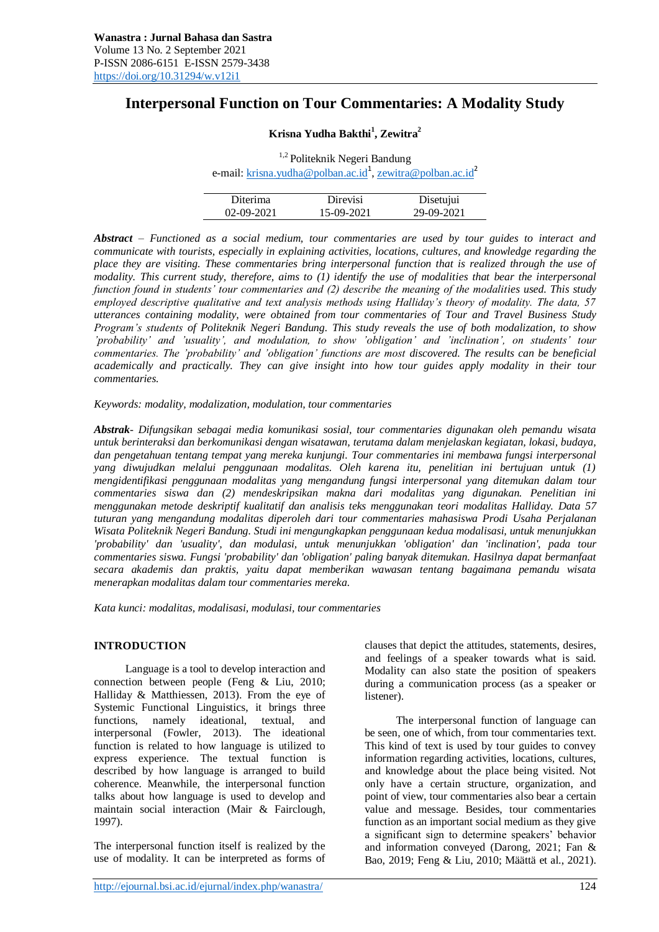# **Interpersonal Function on Tour Commentaries: A Modality Study**

# **Krisna Yudha Bakthi<sup>1</sup> , Zewitra<sup>2</sup>**

<sup>1,2</sup> Politeknik Negeri Bandung e-mail: <u>krisna.yudha@polban.ac.id<sup>1</sup>[, zewitra@polban.ac.id](mailto:zewitra@polban.ac.id)</u><sup>2</sup>

| Diterima   | Direvisi   | Disetujui  |
|------------|------------|------------|
| 02-09-2021 | 15-09-2021 | 29-09-2021 |

*Abstract – Functioned as a social medium, tour commentaries are used by tour guides to interact and communicate with tourists, especially in explaining activities, locations, cultures, and knowledge regarding the place they are visiting. These commentaries bring interpersonal function that is realized through the use of modality. This current study, therefore, aims to (1) identify the use of modalities that bear the interpersonal function found in students' tour commentaries and (2) describe the meaning of the modalities used. This study employed descriptive qualitative and text analysis methods using Halliday's theory of modality. The data, 57 utterances containing modality, were obtained from tour commentaries of Tour and Travel Business Study Program's students of Politeknik Negeri Bandung. This study reveals the use of both modalization, to show 'probability' and 'usuality', and modulation, to show 'obligation' and 'inclination', on students' tour commentaries. The 'probability' and 'obligation' functions are most discovered. The results can be beneficial academically and practically. They can give insight into how tour guides apply modality in their tour commentaries.* 

*Keywords: modality, modalization, modulation, tour commentaries*

*Abstrak- Difungsikan sebagai media komunikasi sosial, tour commentaries digunakan oleh pemandu wisata untuk berinteraksi dan berkomunikasi dengan wisatawan, terutama dalam menjelaskan kegiatan, lokasi, budaya, dan pengetahuan tentang tempat yang mereka kunjungi. Tour commentaries ini membawa fungsi interpersonal yang diwujudkan melalui penggunaan modalitas. Oleh karena itu, penelitian ini bertujuan untuk (1) mengidentifikasi penggunaan modalitas yang mengandung fungsi interpersonal yang ditemukan dalam tour commentaries siswa dan (2) mendeskripsikan makna dari modalitas yang digunakan. Penelitian ini menggunakan metode deskriptif kualitatif dan analisis teks menggunakan teori modalitas Halliday. Data 57 tuturan yang mengandung modalitas diperoleh dari tour commentaries mahasiswa Prodi Usaha Perjalanan Wisata Politeknik Negeri Bandung. Studi ini mengungkapkan penggunaan kedua modalisasi, untuk menunjukkan 'probability' dan 'usuality', dan modulasi, untuk menunjukkan 'obligation' dan 'inclination', pada tour commentaries siswa. Fungsi 'probability' dan 'obligation' paling banyak ditemukan. Hasilnya dapat bermanfaat secara akademis dan praktis, yaitu dapat memberikan wawasan tentang bagaimana pemandu wisata menerapkan modalitas dalam tour commentaries mereka.*

*Kata kunci: modalitas, modalisasi, modulasi, tour commentaries*

# **INTRODUCTION**

Language is a tool to develop interaction and connection between people (Feng & Liu, 2010; Halliday & Matthiessen, 2013). From the eye of Systemic Functional Linguistics, it brings three functions, namely ideational, textual, and interpersonal (Fowler, 2013). The ideational function is related to how language is utilized to express experience. The textual function is described by how language is arranged to build coherence. Meanwhile, the interpersonal function talks about how language is used to develop and maintain social interaction (Mair & Fairclough, 1997).

The interpersonal function itself is realized by the use of modality. It can be interpreted as forms of

http://ejournal.bsi.ac.id/ejurnal/index.php/wanastra/ 124

clauses that depict the attitudes, statements, desires, and feelings of a speaker towards what is said. Modality can also state the position of speakers during a communication process (as a speaker or listener).

The interpersonal function of language can be seen, one of which, from tour commentaries text. This kind of text is used by tour guides to convey information regarding activities, locations, cultures, and knowledge about the place being visited. Not only have a certain structure, organization, and point of view, tour commentaries also bear a certain value and message. Besides, tour commentaries function as an important social medium as they give a significant sign to determine speakers' behavior and information conveyed (Darong, 2021; Fan & Bao, 2019; Feng & Liu, 2010; Määttä et al., 2021).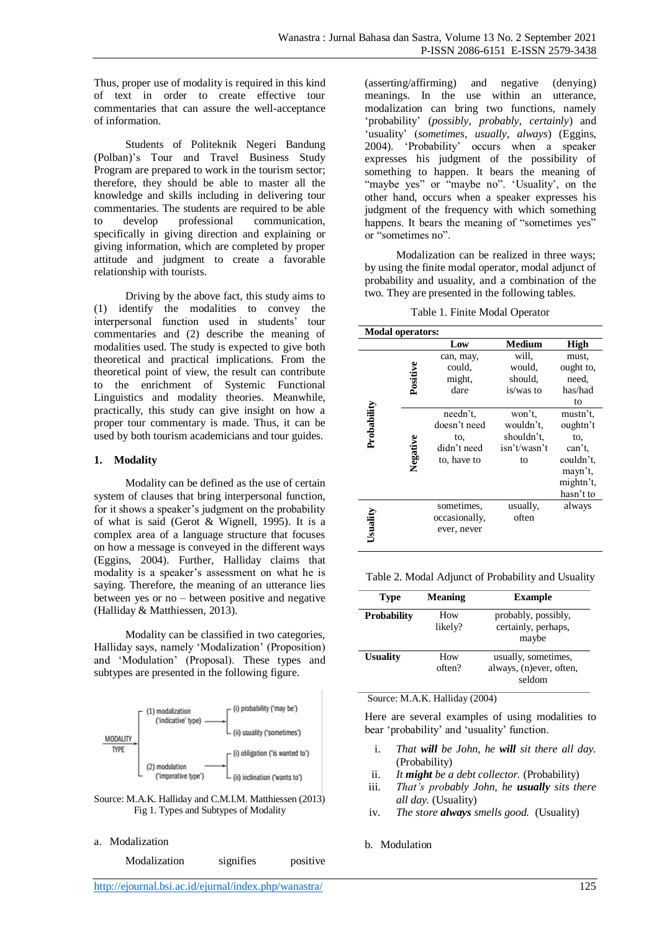Thus, proper use of modality is required in this kind of text in order to create effective tour commentaries that can assure the well-acceptance of information.

Students of Politeknik Negeri Bandung (Polban)'s Tour and Travel Business Study Program are prepared to work in the tourism sector; therefore, they should be able to master all the knowledge and skills including in delivering tour commentaries. The students are required to be able to develop professional communication, specifically in giving direction and explaining or giving information, which are completed by proper attitude and judgment to create a favorable relationship with tourists.

Driving by the above fact, this study aims to (1) identify the modalities to convey the interpersonal function used in students' tour commentaries and (2) describe the meaning of modalities used. The study is expected to give both theoretical and practical implications. From the theoretical point of view, the result can contribute to the enrichment of Systemic Functional Linguistics and modality theories. Meanwhile, practically, this study can give insight on how a proper tour commentary is made. Thus, it can be used by both tourism academicians and tour guides.

## **1. Modality**

Modality can be defined as the use of certain system of clauses that bring interpersonal function, for it shows a speaker's judgment on the probability of what is said (Gerot & Wignell, 1995). It is a complex area of a language structure that focuses on how a message is conveyed in the different ways (Eggins, 2004). Further, Halliday claims that modality is a speaker's assessment on what he is saying. Therefore, the meaning of an utterance lies between yes or no – between positive and negative (Halliday & Matthiessen, 2013).

Modality can be classified in two categories, Halliday says, namely 'Modalization' (Proposition) and 'Modulation' (Proposal). These types and subtypes are presented in the following figure.



Source: M.A.K. Halliday and C.M.I.M. Matthiessen (2013) Fig 1. Types and Subtypes of Modality

a. Modalization

Modalization signifies positive

(asserting/affirming) and negative (denying) meanings. In the use within an utterance, modalization can bring two functions, namely 'probability' (*possibly, probably, certainly*) and 'usuality' (*sometimes, usually, always*) (Eggins, 2004). 'Probability' occurs when a speaker expresses his judgment of the possibility of something to happen. It bears the meaning of "maybe yes" or "maybe no". 'Usuality', on the other hand, occurs when a speaker expresses his judgment of the frequency with which something happens. It bears the meaning of "sometimes yes" or "sometimes no".

Modalization can be realized in three ways; by using the finite modal operator, modal adjunct of probability and usuality, and a combination of the two. They are presented in the following tables.

| <b>Modal operators:</b> |          |                                                               |                                                         |                                                                                         |
|-------------------------|----------|---------------------------------------------------------------|---------------------------------------------------------|-----------------------------------------------------------------------------------------|
|                         |          | Low                                                           | <b>Medium</b>                                           | <b>High</b>                                                                             |
|                         | Positive | can, may,<br>could,<br>might,<br>dare                         | will,<br>would,<br>should,<br>is/was to                 | must.<br>ought to,<br>need,<br>has/had<br>to                                            |
| Probability             | Negative | needn't.<br>doesn't need<br>to.<br>didn't need<br>to, have to | won't.<br>wouldn't.<br>shouldn't.<br>isn't/wasn't<br>to | mustn't,<br>oughtn't<br>to,<br>can't,<br>couldn't.<br>mayn't,<br>mightn't,<br>hasn't to |
| Usuality                |          | sometimes,<br>occasionally,<br>ever, never                    | usually,<br>often                                       | always                                                                                  |

Table 2. Modal Adjunct of Probability and Usuality

| <b>Type</b>        | <b>Meaning</b> | <b>Example</b>                                           |  |
|--------------------|----------------|----------------------------------------------------------|--|
| <b>Probability</b> | How<br>likely? | probably, possibly,<br>certainly, perhaps,<br>maybe      |  |
| <b>Usuality</b>    | How<br>often?  | usually, sometimes,<br>always, (n)ever, often,<br>seldom |  |

Source: M.A.K. Halliday (2004)

Here are several examples of using modalities to bear 'probability' and 'usuality' function.

- i. *That will be John, he will sit there all day.*  (Probability)
- ii. *It might be a debt collector.* (Probability)
- iii. *That's probably John, he usually sits there all day.* (Usuality)
- iv. *The store always smells good.* (Usuality)

## b. Modulation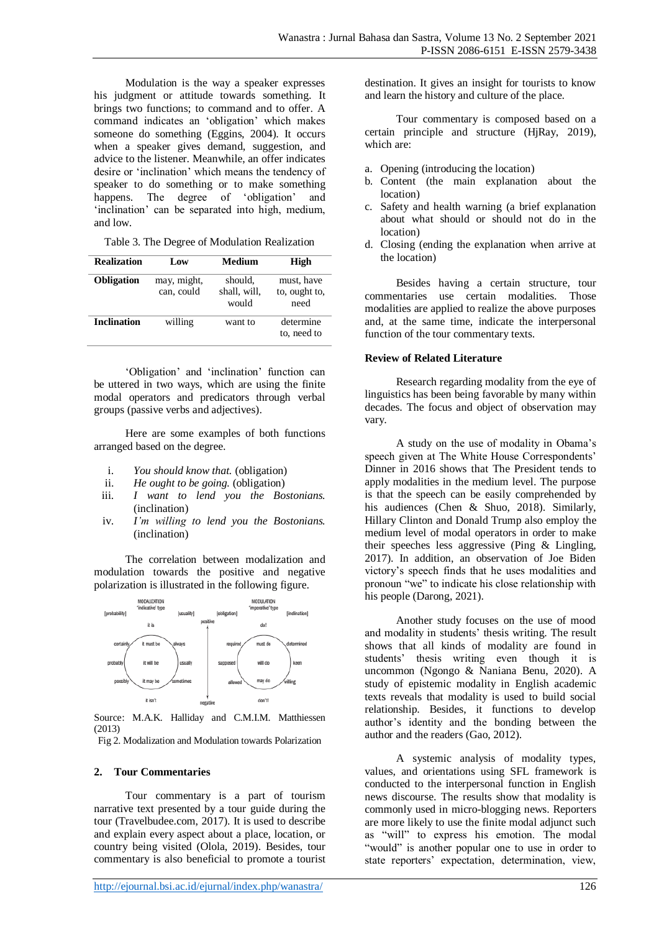Modulation is the way a speaker expresses his judgment or attitude towards something. It brings two functions; to command and to offer. A command indicates an 'obligation' which makes someone do something (Eggins, 2004). It occurs when a speaker gives demand, suggestion, and advice to the listener. Meanwhile, an offer indicates desire or 'inclination' which means the tendency of speaker to do something or to make something happens. The degree of 'obligation' and 'inclination' can be separated into high, medium, and low.

Table 3. The Degree of Modulation Realization

| <b>Realization</b> | Low                       | Medium                           | High                                |
|--------------------|---------------------------|----------------------------------|-------------------------------------|
| <b>Obligation</b>  | may, might,<br>can, could | should.<br>shall, will,<br>would | must, have<br>to, ought to,<br>need |
| Inclination        | willing                   | want to                          | determine<br>to, need to            |

'Obligation' and 'inclination' function can be uttered in two ways, which are using the finite modal operators and predicators through verbal groups (passive verbs and adjectives).

Here are some examples of both functions arranged based on the degree.

- i. *You should know that.* (obligation)
- ii. *He ought to be going.* (obligation)
- iii. *I want to lend you the Bostonians.* (inclination)
- iv. *I'm willing to lend you the Bostonians.* (inclination)

The correlation between modalization and modulation towards the positive and negative polarization is illustrated in the following figure.



Source: M.A.K. Halliday and C.M.I.M. Matthiessen (2013)

Fig 2. Modalization and Modulation towards Polarization

## **2. Tour Commentaries**

Tour commentary is a part of tourism narrative text presented by a tour guide during the tour (Travelbudee.com, 2017). It is used to describe and explain every aspect about a place, location, or country being visited (Olola, 2019). Besides, tour commentary is also beneficial to promote a tourist destination. It gives an insight for tourists to know and learn the history and culture of the place.

Tour commentary is composed based on a certain principle and structure (HjRay, 2019), which are:

- a. Opening (introducing the location)
- b. Content (the main explanation about the location)
- c. Safety and health warning (a brief explanation about what should or should not do in the location)
- d. Closing (ending the explanation when arrive at the location)

Besides having a certain structure, tour commentaries use certain modalities. Those modalities are applied to realize the above purposes and, at the same time, indicate the interpersonal function of the tour commentary texts.

#### **Review of Related Literature**

Research regarding modality from the eye of linguistics has been being favorable by many within decades. The focus and object of observation may vary.

A study on the use of modality in Obama's speech given at The White House Correspondents' Dinner in 2016 shows that The President tends to apply modalities in the medium level. The purpose is that the speech can be easily comprehended by his audiences (Chen & Shuo, 2018). Similarly, Hillary Clinton and Donald Trump also employ the medium level of modal operators in order to make their speeches less aggressive (Ping & Lingling, 2017). In addition, an observation of Joe Biden victory's speech finds that he uses modalities and pronoun "we" to indicate his close relationship with his people (Darong, 2021).

Another study focuses on the use of mood and modality in students' thesis writing. The result shows that all kinds of modality are found in students' thesis writing even though it is uncommon (Ngongo & Naniana Benu, 2020). A study of epistemic modality in English academic texts reveals that modality is used to build social relationship. Besides, it functions to develop author's identity and the bonding between the author and the readers (Gao, 2012).

A systemic analysis of modality types, values, and orientations using SFL framework is conducted to the interpersonal function in English news discourse. The results show that modality is commonly used in micro-blogging news. Reporters are more likely to use the finite modal adjunct such as "will" to express his emotion. The modal "would" is another popular one to use in order to state reporters' expectation, determination, view,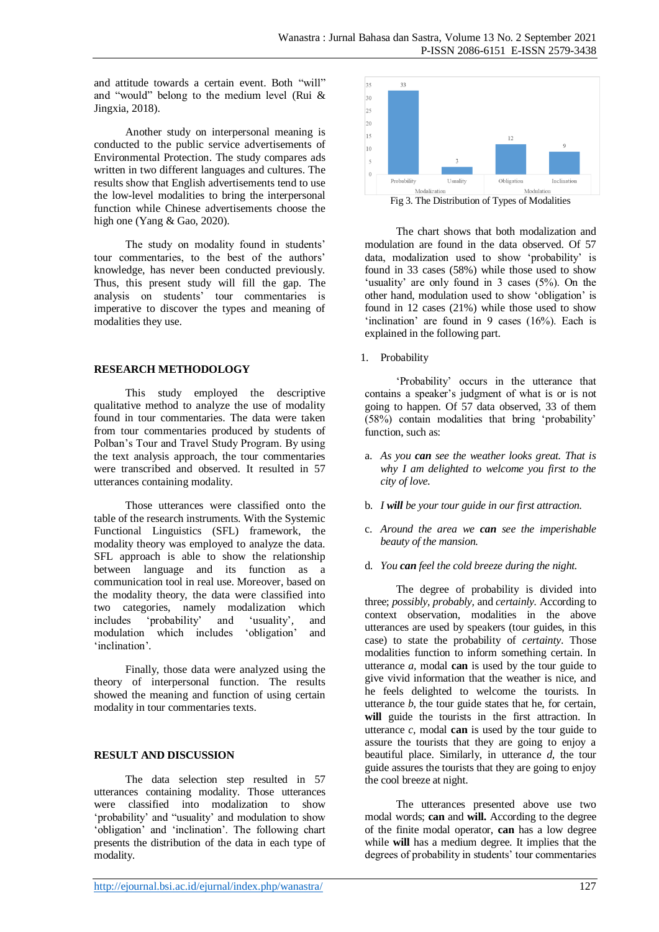and attitude towards a certain event. Both "will" and "would" belong to the medium level (Rui & Jingxia, 2018).

Another study on interpersonal meaning is conducted to the public service advertisements of Environmental Protection. The study compares ads written in two different languages and cultures. The results show that English advertisements tend to use the low-level modalities to bring the interpersonal function while Chinese advertisements choose the high one (Yang & Gao, 2020).

The study on modality found in students' tour commentaries, to the best of the authors' knowledge, has never been conducted previously. Thus, this present study will fill the gap. The analysis on students' tour commentaries is imperative to discover the types and meaning of modalities they use.

## **RESEARCH METHODOLOGY**

This study employed the descriptive qualitative method to analyze the use of modality found in tour commentaries. The data were taken from tour commentaries produced by students of Polban's Tour and Travel Study Program. By using the text analysis approach, the tour commentaries were transcribed and observed. It resulted in 57 utterances containing modality.

Those utterances were classified onto the table of the research instruments. With the Systemic Functional Linguistics (SFL) framework, the modality theory was employed to analyze the data. SFL approach is able to show the relationship between language and its function as a communication tool in real use. Moreover, based on the modality theory, the data were classified into two categories, namely modalization which<br>includes 'probability' and 'usuality', and includes 'probability' and 'usuality'*,* and modulation which includes 'obligation' and 'inclination'*.* 

Finally, those data were analyzed using the theory of interpersonal function. The results showed the meaning and function of using certain modality in tour commentaries texts.

# **RESULT AND DISCUSSION**

The data selection step resulted in 57 utterances containing modality. Those utterances were classified into modalization to show 'probability' and "usuality' and modulation to show 'obligation' and 'inclination'. The following chart presents the distribution of the data in each type of modality.



The chart shows that both modalization and modulation are found in the data observed. Of 57 data, modalization used to show 'probability' is found in 33 cases (58%) while those used to show 'usuality' are only found in 3 cases (5%). On the other hand, modulation used to show 'obligation' is found in 12 cases (21%) while those used to show 'inclination' are found in 9 cases (16%). Each is explained in the following part.

1. Probability

'Probability' occurs in the utterance that contains a speaker's judgment of what is or is not going to happen. Of 57 data observed, 33 of them (58%) contain modalities that bring 'probability' function, such as:

- a. *As you can see the weather looks great. That is why I am delighted to welcome you first to the city of love.*
- b. *I will be your tour guide in our first attraction.*
- c. *Around the area we can see the imperishable beauty of the mansion.*
- d. *You can feel the cold breeze during the night.*

The degree of probability is divided into three; *possibly, probably,* and *certainly.* According to context observation, modalities in the above utterances are used by speakers (tour guides, in this case) to state the probability of *certainty*. Those modalities function to inform something certain. In utterance *a,* modal **can** is used by the tour guide to give vivid information that the weather is nice, and he feels delighted to welcome the tourists. In utterance *b,* the tour guide states that he, for certain, **will** guide the tourists in the first attraction. In utterance *c,* modal **can** is used by the tour guide to assure the tourists that they are going to enjoy a beautiful place. Similarly, in utterance *d,* the tour guide assures the tourists that they are going to enjoy the cool breeze at night.

The utterances presented above use two modal words; **can** and **will.** According to the degree of the finite modal operator, **can** has a low degree while **will** has a medium degree. It implies that the degrees of probability in students' tour commentaries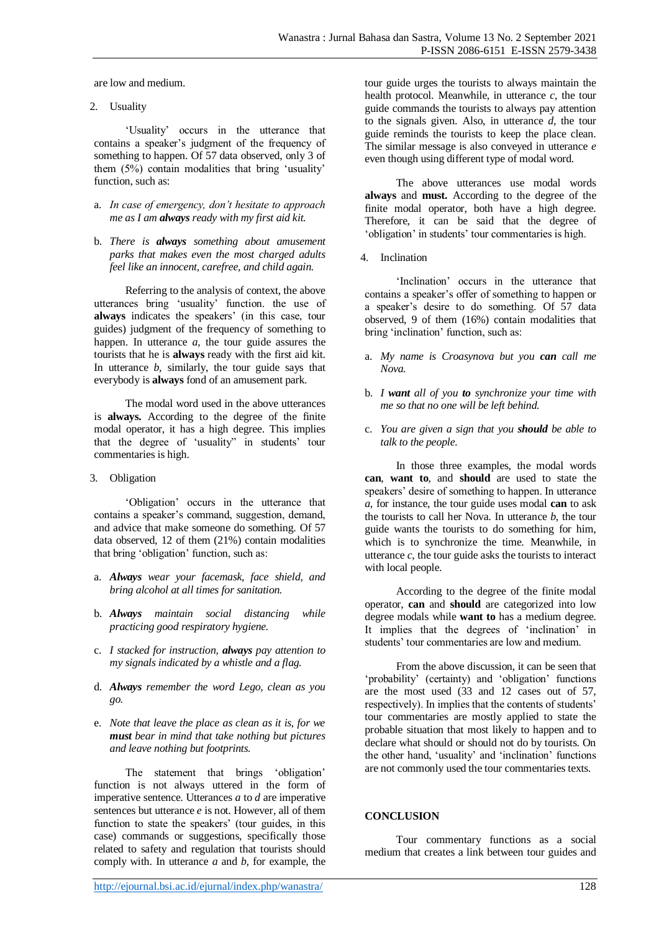are low and medium.

2. Usuality

'Usuality' occurs in the utterance that contains a speaker's judgment of the frequency of something to happen. Of 57 data observed, only 3 of them (5%) contain modalities that bring 'usuality' function, such as:

- a. *In case of emergency, don't hesitate to approach me as I am always ready with my first aid kit.*
- b. *There is always something about amusement parks that makes even the most charged adults feel like an innocent, carefree, and child again.*

Referring to the analysis of context, the above utterances bring 'usuality' function. the use of **always** indicates the speakers' (in this case, tour guides) judgment of the frequency of something to happen. In utterance *a*, the tour guide assures the tourists that he is **always** ready with the first aid kit. In utterance *b,* similarly, the tour guide says that everybody is **always** fond of an amusement park.

The modal word used in the above utterances is **always.** According to the degree of the finite modal operator, it has a high degree. This implies that the degree of 'usuality" in students' tour commentaries is high.

3. Obligation

'Obligation' occurs in the utterance that contains a speaker's command, suggestion, demand, and advice that make someone do something. Of 57 data observed, 12 of them (21%) contain modalities that bring 'obligation' function, such as:

- a. *Always wear your facemask, face shield, and bring alcohol at all times for sanitation.*
- b. *Always maintain social distancing while practicing good respiratory hygiene.*
- c. *I stacked for instruction, always pay attention to my signals indicated by a whistle and a flag.*
- d. *Always remember the word Lego, clean as you go.*
- e. *Note that leave the place as clean as it is, for we must bear in mind that take nothing but pictures and leave nothing but footprints.*

The statement that brings 'obligation' function is not always uttered in the form of imperative sentence. Utterances *a* to *d* are imperative sentences but utterance *e* is not. However, all of them function to state the speakers' (tour guides, in this case) commands or suggestions, specifically those related to safety and regulation that tourists should comply with. In utterance *a* and *b,* for example, the

The above utterances use modal words **always** and **must.** According to the degree of the finite modal operator, both have a high degree. Therefore, it can be said that the degree of 'obligation' in students' tour commentaries is high.

4. Inclination

'Inclination' occurs in the utterance that contains a speaker's offer of something to happen or a speaker's desire to do something. Of 57 data observed, 9 of them (16%) contain modalities that bring 'inclination' function, such as:

- a. *My name is Croasynova but you can call me Nova.*
- b. *I want all of you to synchronize your time with me so that no one will be left behind.*
- c. *You are given a sign that you should be able to talk to the people.*

In those three examples, the modal words **can**, **want to**, and **should** are used to state the speakers' desire of something to happen. In utterance *a*, for instance, the tour guide uses modal **can** to ask the tourists to call her Nova. In utterance *b*, the tour guide wants the tourists to do something for him, which is to synchronize the time. Meanwhile, in utterance  $c$ , the tour guide asks the tourists to interact with local people.

According to the degree of the finite modal operator, **can** and **should** are categorized into low degree modals while **want to** has a medium degree. It implies that the degrees of 'inclination' in students' tour commentaries are low and medium.

From the above discussion, it can be seen that 'probability' (certainty) and 'obligation' functions are the most used (33 and 12 cases out of 57, respectively). In implies that the contents of students' tour commentaries are mostly applied to state the probable situation that most likely to happen and to declare what should or should not do by tourists. On the other hand, 'usuality' and 'inclination' functions are not commonly used the tour commentaries texts.

# **CONCLUSION**

Tour commentary functions as a social medium that creates a link between tour guides and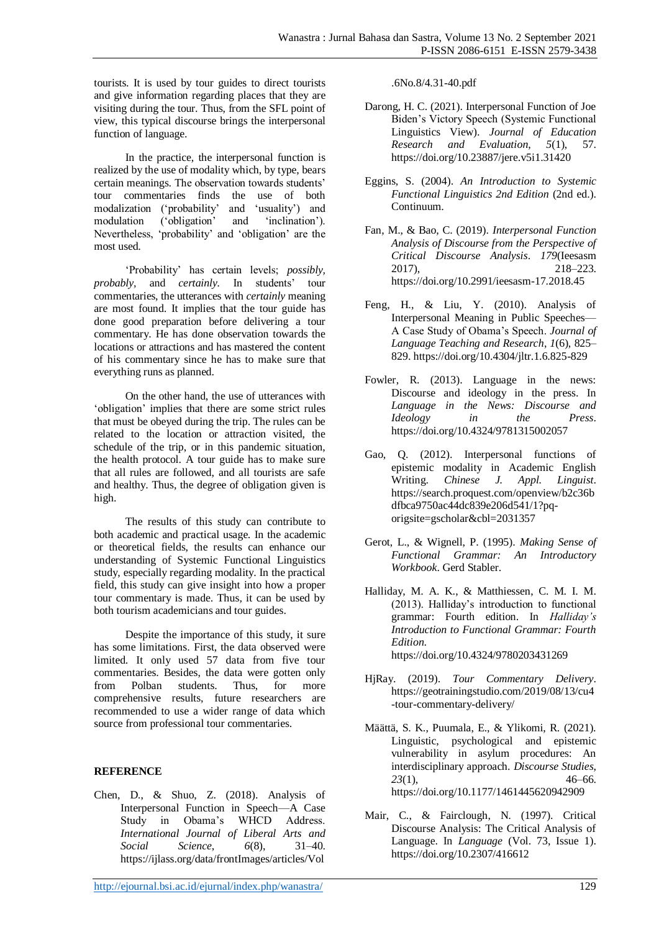tourists. It is used by tour guides to direct tourists and give information regarding places that they are visiting during the tour. Thus, from the SFL point of view, this typical discourse brings the interpersonal function of language.

In the practice, the interpersonal function is realized by the use of modality which, by type, bears certain meanings. The observation towards students' tour commentaries finds the use of both modalization ('probability' and 'usuality') and modulation ('obligation' and 'inclination'). Nevertheless, 'probability' and 'obligation' are the most used.

'Probability' has certain levels; *possibly, probably,* and *certainly.* In students' tour commentaries, the utterances with *certainly* meaning are most found. It implies that the tour guide has done good preparation before delivering a tour commentary. He has done observation towards the locations or attractions and has mastered the content of his commentary since he has to make sure that everything runs as planned.

On the other hand, the use of utterances with 'obligation' implies that there are some strict rules that must be obeyed during the trip. The rules can be related to the location or attraction visited, the schedule of the trip, or in this pandemic situation, the health protocol. A tour guide has to make sure that all rules are followed, and all tourists are safe and healthy. Thus, the degree of obligation given is high.

The results of this study can contribute to both academic and practical usage. In the academic or theoretical fields, the results can enhance our understanding of Systemic Functional Linguistics study, especially regarding modality. In the practical field, this study can give insight into how a proper tour commentary is made. Thus, it can be used by both tourism academicians and tour guides.

Despite the importance of this study, it sure has some limitations. First, the data observed were limited. It only used 57 data from five tour commentaries. Besides, the data were gotten only from Polban students. Thus, for more comprehensive results, future researchers are recommended to use a wider range of data which source from professional tour commentaries.

# **REFERENCE**

Chen, D., & Shuo, Z. (2018). Analysis of Interpersonal Function in Speech—A Case Study in Obama's WHCD Address. *International Journal of Liberal Arts and Social Science*, *6*(8). https://ijlass.org/data/frontImages/articles/Vol

.6No.8/4.31-40.pdf

- Darong, H. C. (2021). Interpersonal Function of Joe Biden's Victory Speech (Systemic Functional Linguistics View). *Journal of Education Research and Evaluation*, *5*(1), 57. https://doi.org/10.23887/jere.v5i1.31420
- Eggins, S. (2004). *An Introduction to Systemic Functional Linguistics 2nd Edition* (2nd ed.). Continuum.
- Fan, M., & Bao, C. (2019). *Interpersonal Function Analysis of Discourse from the Perspective of Critical Discourse Analysis*. *179*(Ieesasm 2017), 218–223. https://doi.org/10.2991/ieesasm-17.2018.45
- Feng, H., & Liu, Y. (2010). Analysis of Interpersonal Meaning in Public Speeches— A Case Study of Obama's Speech. *Journal of Language Teaching and Research*, *1*(6), 825– 829. https://doi.org/10.4304/jltr.1.6.825-829
- Fowler, R. (2013). Language in the news: Discourse and ideology in the press. In *Language in the News: Discourse and Ideology in the Press*. https://doi.org/10.4324/9781315002057
- Gao, Q. (2012). Interpersonal functions of epistemic modality in Academic English Writing. *Chinese J. Appl. Linguist*. https://search.proquest.com/openview/b2c36b dfbca9750ac44dc839e206d541/1?pqorigsite=gscholar&cbl=2031357
- Gerot, L., & Wignell, P. (1995). *Making Sense of Functional Grammar: An Introductory Workbook*. Gerd Stabler.
- Halliday, M. A. K., & Matthiessen, C. M. I. M. (2013). Halliday's introduction to functional grammar: Fourth edition. In *Halliday's Introduction to Functional Grammar: Fourth Edition*. https://doi.org/10.4324/9780203431269
- HjRay. (2019). *Tour Commentary Delivery*. https://geotrainingstudio.com/2019/08/13/cu4 -tour-commentary-delivery/
- Määttä, S. K., Puumala, E., & Ylikomi, R. (2021). Linguistic, psychological and epistemic vulnerability in asylum procedures: An interdisciplinary approach. *Discourse Studies*, *23*(1), 46–66. https://doi.org/10.1177/1461445620942909
- Mair, C., & Fairclough, N. (1997). Critical Discourse Analysis: The Critical Analysis of Language. In *Language* (Vol. 73, Issue 1). https://doi.org/10.2307/416612